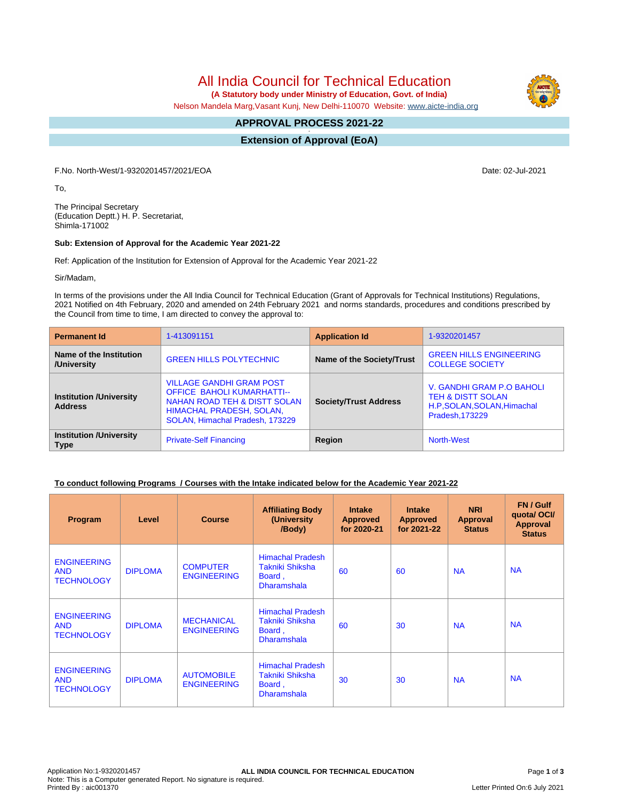# All India Council for Technical Education

 **(A Statutory body under Ministry of Education, Govt. of India)**

Nelson Mandela Marg,Vasant Kunj, New Delhi-110070 Website: [www.aicte-india.org](http://www.aicte-india.org)

#### **APPROVAL PROCESS 2021-22 -**

**Extension of Approval (EoA)**

F.No. North-West/1-9320201457/2021/EOA Date: 02-Jul-2021

To,

The Principal Secretary (Education Deptt.) H. P. Secretariat, Shimla-171002

#### **Sub: Extension of Approval for the Academic Year 2021-22**

Ref: Application of the Institution for Extension of Approval for the Academic Year 2021-22

Sir/Madam,

In terms of the provisions under the All India Council for Technical Education (Grant of Approvals for Technical Institutions) Regulations, 2021 Notified on 4th February, 2020 and amended on 24th February 2021 and norms standards, procedures and conditions prescribed by the Council from time to time, I am directed to convey the approval to:

| <b>Permanent Id</b>                              | 1-413091151                                                                                                                                                         | <b>Application Id</b>        | 1-9320201457                                             |
|--------------------------------------------------|---------------------------------------------------------------------------------------------------------------------------------------------------------------------|------------------------------|----------------------------------------------------------|
| Name of the Institution<br>/University           | <b>GREEN HILLS POLYTECHNIC</b>                                                                                                                                      | Name of the Society/Trust    | <b>GREEN HILLS ENGINEERING</b><br><b>COLLEGE SOCIETY</b> |
| <b>Institution /University</b><br><b>Address</b> | <b>VILLAGE GANDHI GRAM POST</b><br><b>OFFICE BAHOLI KUMARHATTI--</b><br>NAHAN ROAD TEH & DISTT SOLAN<br>HIMACHAL PRADESH, SOLAN,<br>SOLAN, Himachal Pradesh, 173229 | <b>Society/Trust Address</b> |                                                          |
| <b>Institution /University</b><br><b>Type</b>    | <b>Private-Self Financing</b>                                                                                                                                       | Region                       | <b>North-West</b>                                        |

### **To conduct following Programs / Courses with the Intake indicated below for the Academic Year 2021-22**

| Program                                               | Level          | <b>Course</b>                           | <b>Affiliating Body</b><br>(University<br>/Body)                           | <b>Intake</b><br><b>Approved</b><br>for 2020-21 | <b>Intake</b><br><b>Approved</b><br>for 2021-22 | <b>NRI</b><br><b>Approval</b><br><b>Status</b> | FN / Gulf<br>quota/OCI/<br><b>Approval</b><br><b>Status</b> |
|-------------------------------------------------------|----------------|-----------------------------------------|----------------------------------------------------------------------------|-------------------------------------------------|-------------------------------------------------|------------------------------------------------|-------------------------------------------------------------|
| <b>ENGINEERING</b><br><b>AND</b><br><b>TECHNOLOGY</b> | <b>DIPLOMA</b> | <b>COMPUTER</b><br><b>ENGINEERING</b>   | <b>Himachal Pradesh</b><br>Takniki Shiksha<br>Board,<br><b>Dharamshala</b> | 60                                              | 60                                              | <b>NA</b>                                      | <b>NA</b>                                                   |
| <b>ENGINEERING</b><br><b>AND</b><br><b>TECHNOLOGY</b> | <b>DIPLOMA</b> | <b>MECHANICAL</b><br><b>ENGINEERING</b> | <b>Himachal Pradesh</b><br>Takniki Shiksha<br>Board,<br><b>Dharamshala</b> | 60                                              | 30                                              | <b>NA</b>                                      | <b>NA</b>                                                   |
| <b>ENGINEERING</b><br><b>AND</b><br><b>TECHNOLOGY</b> | <b>DIPLOMA</b> | <b>AUTOMOBILE</b><br><b>ENGINEERING</b> | <b>Himachal Pradesh</b><br>Takniki Shiksha<br>Board,<br><b>Dharamshala</b> | 30                                              | 30                                              | <b>NA</b>                                      | <b>NA</b>                                                   |

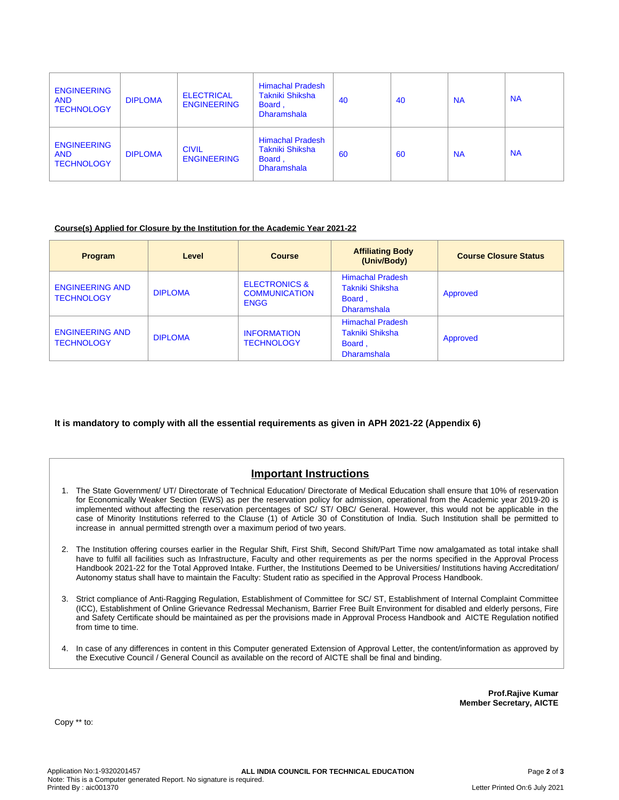| <b>ENGINEERING</b><br><b>AND</b><br><b>TECHNOLOGY</b> | <b>DIPLOMA</b> | <b>ELECTRICAL</b><br><b>ENGINEERING</b> | <b>Himachal Pradesh</b><br>Takniki Shiksha<br>Board,<br><b>Dharamshala</b> | 40 | 40 | <b>NA</b> | <b>NA</b> |
|-------------------------------------------------------|----------------|-----------------------------------------|----------------------------------------------------------------------------|----|----|-----------|-----------|
| <b>ENGINEERING</b><br><b>AND</b><br><b>TECHNOLOGY</b> | <b>DIPLOMA</b> | <b>CIVIL</b><br><b>ENGINEERING</b>      | <b>Himachal Pradesh</b><br>Takniki Shiksha<br>Board,<br><b>Dharamshala</b> | 60 | 60 | <b>NA</b> | <b>NA</b> |

#### **Course(s) Applied for Closure by the Institution for the Academic Year 2021-22**

| <b>Program</b>                              | Level          | <b>Course</b>                                                   | <b>Affiliating Body</b><br>(Univ/Body)                                     | <b>Course Closure Status</b> |
|---------------------------------------------|----------------|-----------------------------------------------------------------|----------------------------------------------------------------------------|------------------------------|
| <b>ENGINEERING AND</b><br><b>TECHNOLOGY</b> | <b>DIPLOMA</b> | <b>ELECTRONICS &amp;</b><br><b>COMMUNICATION</b><br><b>ENGG</b> | <b>Himachal Pradesh</b><br>Takniki Shiksha<br>Board,<br><b>Dharamshala</b> | Approved                     |
| <b>ENGINEERING AND</b><br><b>TECHNOLOGY</b> | <b>DIPLOMA</b> | <b>INFORMATION</b><br><b>TECHNOLOGY</b>                         | <b>Himachal Pradesh</b><br>Takniki Shiksha<br>Board,<br><b>Dharamshala</b> | Approved                     |

### **It is mandatory to comply with all the essential requirements as given in APH 2021-22 (Appendix 6)**

## **Important Instructions**

- 1. The State Government/ UT/ Directorate of Technical Education/ Directorate of Medical Education shall ensure that 10% of reservation for Economically Weaker Section (EWS) as per the reservation policy for admission, operational from the Academic year 2019-20 is implemented without affecting the reservation percentages of SC/ ST/ OBC/ General. However, this would not be applicable in the case of Minority Institutions referred to the Clause (1) of Article 30 of Constitution of India. Such Institution shall be permitted to increase in annual permitted strength over a maximum period of two years.
- 2. The Institution offering courses earlier in the Regular Shift, First Shift, Second Shift/Part Time now amalgamated as total intake shall have to fulfil all facilities such as Infrastructure, Faculty and other requirements as per the norms specified in the Approval Process Handbook 2021-22 for the Total Approved Intake. Further, the Institutions Deemed to be Universities/ Institutions having Accreditation/ Autonomy status shall have to maintain the Faculty: Student ratio as specified in the Approval Process Handbook.
- 3. Strict compliance of Anti-Ragging Regulation, Establishment of Committee for SC/ ST, Establishment of Internal Complaint Committee (ICC), Establishment of Online Grievance Redressal Mechanism, Barrier Free Built Environment for disabled and elderly persons, Fire and Safety Certificate should be maintained as per the provisions made in Approval Process Handbook and AICTE Regulation notified from time to time.
- 4. In case of any differences in content in this Computer generated Extension of Approval Letter, the content/information as approved by the Executive Council / General Council as available on the record of AICTE shall be final and binding.

**Prof.Rajive Kumar Member Secretary, AICTE**

Copy \*\* to: